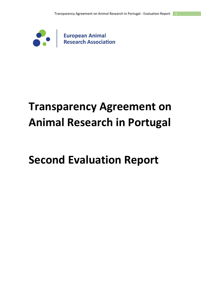

# **Transparency Agreement on Animal Research in Portugal**

# **Second Evaluation Report**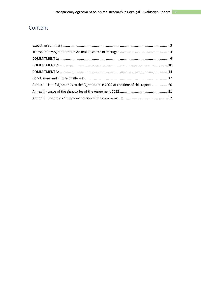## Content

| Annex I - List of signatories to the Agreement in 2022 at the time of this report 20 |  |
|--------------------------------------------------------------------------------------|--|
|                                                                                      |  |
|                                                                                      |  |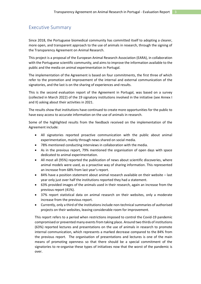### <span id="page-2-0"></span>Executive Summary

Since 2018, the Portuguese biomedical community has committed itself to adopting a clearer, more open, and transparent approach to the use of animals in research, through the signing of the Transparency Agreement on Animal Research.

This project is a proposal of the European Animal Research Association (EARA), in collaboration with the Portuguese scientific community, and aims to improve the information available to the public and the media on animal experimentation in Portugal.

The implementation of the Agreement is based on four commitments, the first three of which refer to the promotion and improvement of the internal and external communication of the signatories, and the last is on the sharing of experiences and results.

This is the second evaluation report of the Agreement in Portugal, was based on a survey (collected in March 2022) of the 19 signatory institutions involved in the initiative (see Annex I and II) asking about their activities in 2021.

The results show that institutions have continued to create more opportunities for the public to have easy access to accurate information on the use of animals in research.

Some of the highlighted results from the feedback received on the implementation of the Agreement include:

- All signatories reported proactive communication with the public about animal experimentation, mainly through news shared on social media.
- 78% mentioned conducting interviews in collaboration with the media.
- As in the previous report, 79% mentioned the organisation of open days with space dedicated to animal experimentation.
- All most all (95%) reported the publication of news about scientific discoveries, where animal models were used, as a proactive way of sharing information. This represented an increase from 68% from last year's report.
- 84% have a position statement about animal research available on their website last year only just over half the institutions reported they had a statement.
- 63% provided images of the animals used in their research, again an increase from the previous report (41%).
- 37% report statistical data on animal research on their websites, only a moderate increase from the previous report.
- Currently, only a third of the institutions include non-technical summaries of authorised projects on their websites, leaving considerable room for improvement.

This report refers to a period when restrictions imposed to control the Covid-19 pandemic compromised or prevented many events from taking place. Around two thirds of institutions (63%) reported lectures and presentations on the use of animals in research to promote internal communication, which represents a marked decrease compared to the 84% from the previous report. The organisation of presentations and lectures is one of the main means of promoting openness so that there should be a special commitment of the signatories to re-organise these types of initiatives now that the worst of the pandemic is over.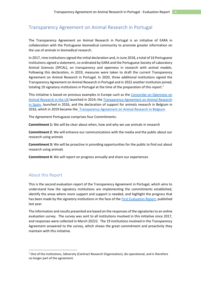### <span id="page-3-0"></span>Transparency Agreement on Animal Research in Portugal

The Transparency Agreement on Animal Research in Portugal is an initiative of EARA in collaboration with the Portuguese biomedical community to promote greater information on the use of animals in biomedical research.

In 2017, nine institutions signed the initial declaration and, in June 2018, a total of 16 Portuguese institutions signed a statement, co-ordinated by EARA and the Portuguese Society of Laboratory Animal Sciences (SPCAL), on transparency and openness in research with animal models. Following this declaration, in 2019, measures were taken to draft the current Transparency Agreement on Animal Research in Portugal. In 2020, three additional institutions signed the Transparency Agreement on Animal Research in Portugal and in 2022 another institution joined, totaling 19 signatory institutions in Portugal at the time of the preparation of this report.<sup>1</sup>

This initiative is based on previous examples in Europe such as the [Concordat on Openness on](https://concordatopenness.org.uk/)  [Animal Research in the UK](https://concordatopenness.org.uk/) launched in 2014; the [Transparency Agreement on Animal Research](https://cosce.org/acuerdo-de-transparencia/)  [in Spain,](https://cosce.org/acuerdo-de-transparencia/) launched in 2016, and the declaration of support for animals research in Belgium in 2016, which in 2019 became th[e Transparency Agreement on Animal Research in Belgium.](http://bclasorg.webhosting.be/transparency-agreement/)

The Agreement Portuguese comprises four Commitments:

**Commitment 1:** We will be clear about when, how and why we use animals in research

**Commitment 2**: We will enhance our communications with the media and the public about our research using animals

**Commitment 3:** We will be proactive in providing opportunities for the public to find out about research using animals

**Commitment 4:** We will report on progress annually and share our experiences

### About this Report

This is the second evaluation report of the Transparency Agreement in Portugal, which aims to understand how the signatory institutions are implementing the commitments established, identify the areas where more support and support is needed, and highlight the progress that has been made by the signatory institutions in the face of the [First Evaluation Report,](https://www.eara.eu/post/portuguese-transparency-report) published last year.

The information and results presented are based on the responses of the signatories to an online evaluation survey. The survey was sent to all institutions involved in this initiative since 2017, and responses were collected in March 20222. The 19 institutions involved in the Transparency Agreement answered to the survey, which shows the great commitment and proactivity they maintain with this initiative.

<sup>&</sup>lt;sup>1</sup> One of the institutions, Sdiversity (Contract Research Organization), dis operational, and is therefore no longer part of the agreement.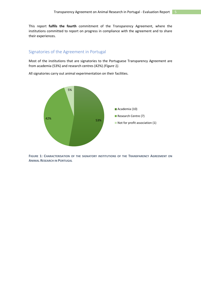This report **fulfils the fourth** commitment of the Transparency Agreement, where the institutions committed to report on progress in compliance with the agreement and to share their experiences.

### Signatories of the Agreement in Portugal

Most of the institutions that are signatories to the Portuguese Transparency Agreement are from academia (53%) and research centres (42%) *(Figure 1)*.

All signatories carry out animal experimentation on their facilities.



**FIGURE 1: CHARACTERISATION OF THE SIGNATORY INSTITUTIONS OF THE TRANSPARENCY AGREEMENT ON ANIMAL RESEARCH IN PORTUGAL**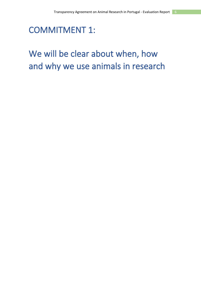## <span id="page-5-0"></span>COMMITMENT 1:

## We will be clear about when, how and why we use animals in research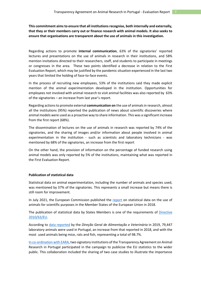**This commitment aims to ensure that all institutions recognise, both internally and externally, that they or their members carry out or finance research with animal models. It also seeks to ensure that organisations are transparent about the use of animals in this investigation.** 

Regarding actions to promote **internal communication**, 63% of the signatories' reported lectures and presentations on the use of animals in research in their institutions, and 58% mention invitations directed to their researchers, staff, and students to participate in meetings or congresses in the area. These two points identified a decrease in relation to the First Evaluation Report, which may be justified by the pandemic situation experienced in the last two years that limited the holding of face-to-face events.

In the process of recruiting new employees, 53% of the institutions said they made explicit mention of the animal experimentation developed in the institution. Opportunities for employees not involved with animal research to visit animal facilities was also reported by 63% of the signatories – an increase from last year's report.

Regarding actions to promote external **communication on** the use of animals in research, almost all the institutions (95%) reported the publication of news about scientific discoveries where animal models were used as a proactive way to share information. This was a significant increase from the first report (68%).

The dissemination of lectures on the use of animals in research was reported by 74% of the signatories, and the sharing of images and/or information about people involved in animal experimentation in the institution - such as scientists and laboratory technicians - was mentioned by 68% of the signatories, an increase from the first report

On the other hand, the provision of information on the percentage of funded research using animal models was only reported by 5% of the institutions, maintaining what was reported in the First Evaluation Report.

#### **Publication of statistical data**

Statistical data on animal experimentation, including the number of animals and species used, was mentioned by 37% of the signatories. This represents a small increase but means there is still room for improvement.

In July 2021, the European Commission published the [report](https://ec.europa.eu/environment/chemicals/lab_animals/pdf/SWD_%20part_A_and_B.pdf) on statistical data on the use of animals for scientific purposes in the Member States of the European Union in 2018.

The publication of statistical data by States Members is one of the requirements of [Directive](https://eur-lex.europa.eu/legal-content/PT/TXT/PDF/?uri=CELEX:32010L0063&from=EN)  [2010/63/EU.](https://eur-lex.europa.eu/legal-content/PT/TXT/PDF/?uri=CELEX:32010L0063&from=EN)

According to [data reported](https://www.dgav.pt/wp-content/uploads/2021/03/Quadros-estatisticos-2019.pdf) by the *Direção Geral de Alimentação e Veterinária* in 2019, 79,447 laboratory animals were used in Portugal, an increase from that reported in 2018, and with the most used animals being mice, rats and fish, representing a total of 98.7%.

[In co-ordination with EARA,](https://www.eara.eu/post/biomedical-sector-in-portugal-welcomes-eu-wide-figures-on-animals-used-in-research-and-testing) two signatory institutions of the Transparency Agreement on Animal Research in Portugal participated in the campaign to publicise the EU statistics to the wider public. This collaboration included the sharing of two case studies to illustrate the importance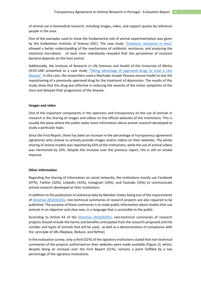of animal use in biomedical research, including images, video, and support quotes by reference people in the area.

One of the examples used to show the fundamental role of animal experimentation was given by the Gulbenkian Institute of Science (IGC). The case [study "Antibiotic resistance in mice"](http://www.eara.eu/post/antibiotic-resistance-in-mice) allowed a better understanding of the mechanisms of antibiotic resistance, and analysing the intestinal microbiota of each mice individually revealed that the persistence of resistant bacteria depends on the host animal.

Additionally, the Institute of Research in Life Sciences and Health of the University of Minho (ICVS-UM) presented [as a case study "Taking advantage of approved drugs to treat a rare](http://www.eara.eu/post/treatment-for-a-rare-disease)  [disease".](http://www.eara.eu/post/treatment-for-a-rare-disease) In this case, the researchers used a Machado-Joseph Disease mouse model to test the repositioning of a previously approved drug for the treatment of depression. The results of this study show that this drug was effective in reducing the severity of the motor symptoms of the mice and delayed their progression of the disease.

#### **Images and video**

One of the important components in the openness and transparency on the use of animals in research is the sharing of images and videos on the official websites of the institutions. This is usually the place where the public seeks more information about animal research developed to study a particular topic.

Since the First Report, there has been an increase in the percentage of transparency agreement signatories who choose to actively provide images and/or videos on their websites. The photo sharing of animal models was reported by 63% of the institutions, while the use of animal videos was mentioned by 32%. Despite the increase over the previous report, this is still an areato improve.

#### **Other information**

Regarding the sharing of information on social networks, the institutions mostly use Facebook (47%), Twitter (32%), LinkedIn (32%), Instagram (26%), and Youtube (16%) to communicate animal research developed at their institutions.

In addition to the publication of statistical data by Member States being one of the requirements of [Directive 2010/63/EU,](https://eur-lex.europa.eu/legal-content/PT/TXT/PDF/?uri=CELEX:32010L0063&from=EN) non-technical summaries of research projects are also required to be published. The purpose of these summaries is to make public information about studies that use animals in an objective and clear way, in a language that is accessible to the public.

According to Article 43 of the [Directive 2010/63/EU,](https://eur-lex.europa.eu/legal-content/PT/TXT/PDF/?uri=CELEX:32010L0063&from=EN) non-technical summaries of research projects should include the harms and benefits anticipated from the research proposed and the number and types of animals that will be used, as well as a demonstration of compliance with the principle of 3Rs (Replace, Reduce, and Refine).

In the evaluation survey, only a third (32%) of the signatory institutions stated that non-technical summaries of the projects authorised on their websites were made available *(Figure 2),* which, despite being an increase over the First Report (21%), remains a point fulfilled by a low percentage of the signatory institutions.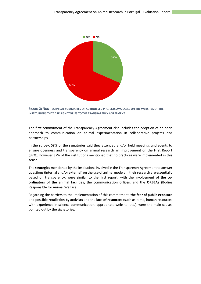

**FIGURE 2: NON-TECHNICAL SUMMARIES OF AUTHORISED PROJECTS AVAILABLE ON THE WEBSITES OF THE INSTITUTIONS THAT ARE SIGNATORIES TO THE TRANSPARENCY AGREEMENT** 

The first commitment of the Transparency Agreement also includes the adoption of an open approach to communication on animal experimentation in collaborative projects and partnerships.

In the survey, 58% of the signatories said they attended and/or held meetings and events to ensure openness and transparency on animal research an improvement on the First Report (37%), however 37% of the institutions mentioned that no practices were implemented in this sense.

The **strategies** mentioned by the institutions involved in the Transparency Agreement to answer questions (internal and/or external) on the use of animal models in their research are essentially based on transparency, were similar to the first report, with the involvement of **the coordinators of the animal facilities**, the **communication offices**, and the **ORBEAs** (Bodies Responsible for Animal Welfare).

Regarding the barriers to the implementation of this commitment, **the fear of public exposure**  and possible **retaliation by activists** and the **lack of resources** (such as: time, human resources with experience in science communication, appropriate website, etc.), were the main causes pointed out by the signatories.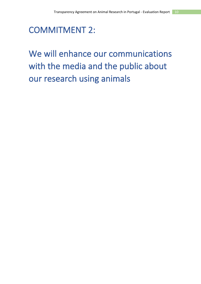<span id="page-9-0"></span>COMMITMENT 2:

# We will enhance our communications with the media and the public about our research using animals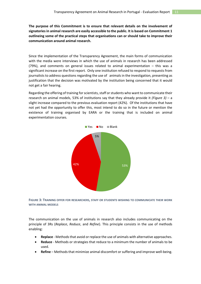**The purpose of this Commitment is to ensure that relevant details on the involvement of signatories in animal research are easily accessible to the public. It is based on Commitment 1 outlineing some of the practical steps that organisations can or should take to improve their communication around animal research.**

Since the implementation of the Transparency Agreement, the main forms of communication with the media were interviews in which the use of animals in research has been addressed (79%), and comments on general issues related to animal experimentation – this was a significant increase on the first report*.* Only one institution refused to respond to requests from journalists to address questions regarding the use of animals in the investigation, presenting as justification that the decision was motivated by the institution being concerned that it would not get a fair hearing.

Regarding the offering of training for scientists, staff or students who want to communicate their research on animal models, 53% of institutions say that they already provide it *(Figure 3)* – a slight increase compared to the previous evaluation report (42%). Of the institutions that have not yet had the opportunity to offer this, most intend to do so in the future or mention the existence of training organised by EARA or the training that is included on animal experimentation courses*.*



**FIGURE 3: TRAINING OFFER FOR RESEARCHERS, STAFF OR STUDENTS WISHING TO COMMUNICATE THEIR WORK WITH ANIMAL MODELS**

The communication on the use of animals in research also includes communicating on the principle of 3Rs (*Replace*, *Reduce*, and *Refine*). This principle consists in the use of methods enabling:

- **Replace** Methodsthat avoid or replace the use of animals with alternative approaches.
- **Reduce** Methods or strategies that reduce to a minimum the number of animals to be used.
- **Refine** Methods that minimize animal discomfort or suffering and improve well-being.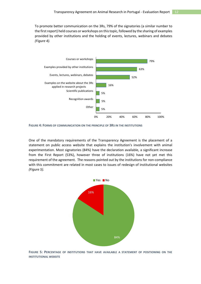To promote better communication on the 3Rs, 79% of the signatories (a similar number to the first report) held courses or workshops on this topic, followed by the sharing of examples provided by other institutions and the holding of events, lectures, webinars and debates *(Figure 4).*



**FIGURE 4: FORMS OF COMMUNICATION ON THE PRINCIPLE OF 3RS IN THE INSTITUTIONS**

One of the mandatory requirements of the Transparency Agreement is the placement of a statement on public access website that explains the institution's involvement with animal experimentation. Most signatories (84%) have the declaration available, a significant increase from the First Report (53%), however three of institutions (16%) have not yet met this requirement of the agreement. The reasons pointed out by the institutions for non-compliance with this commitment are related in most cases to issues of redesign of institutional websites *(Figure 5).*



**FIGURE 5: PERCENTAGE OF INSTITUTIONS THAT HAVE AVAILABLE A STATEMENT OF POSITIONING ON THE INSTITUTIONAL WEBSITE**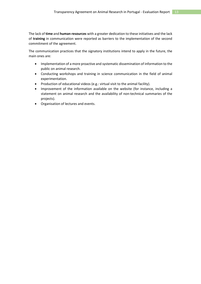The lack of **time** and **human resources** with a greater dedication to these initiatives and the lack of **training** in communication were reported as barriers to the implementation of the second commitment of the agreement.

The communication practices that the signatory institutions intend to apply in the future, the main ones are:

- Implementation of a more proactive and systematic dissemination of information to the public on animal research.
- Conducting workshops and training in science communication in the field of animal experimentation.
- Production of educational videos (e.g.: virtual visit to the animal facility).
- Improvement of the information available on the website (for instance, including a statement on animal research and the availability of non-technical summaries of the projects).
- Organisation of lectures and events.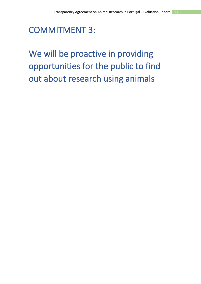<span id="page-13-0"></span>COMMITMENT 3:

We will be proactive in providing opportunities for the public to find out about research using animals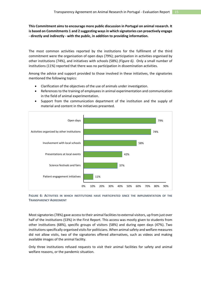**This Commitment aims to encourage more public discussion in Portugal on animal research. It is based on Commitments 1 and 2 suggesting ways in which signatories can proactively engage - directly and indirectly - with the public, in addition to providing information.**

The most common activities reported by the institutions for the fulfilment of the third commitment were the organisation of open days (79%); participation in activities organised by other institutions (74%), and initiatives with schools (58%) *(Figure 6).* Only a small number of institutions (11%) reported that there was no participation in dissemination activities.

Among the advice and support provided to those involved in these initiatives, the signatories mentioned the following topics:

- Clarification of the objectives of the use of animals under investigation.
- References to the training of employees in animal experimentation and communication in the field of animal experimentation.
- Support from the communication department of the institution and the supply of material and content in the initiatives presented.



**FIGURE 6: ACTIVITIES IN WHICH INSTITUTIONS HAVE PARTICIPATED SINCE THE IMPLEMENTATION OF THE TRANSPARENCY AGREEMENT**

Mostsignatories (78%) gave access to their animal facilities to external visitors, up from just over half of the institutions (53%) in the First Report. This access was mostly given to students from other institutions (68%), specific groups of visitors (58%) and during open days (47%). Two institutions specifically organised visits for politicians. When animal safety and welfare measures did not allow visits, two of the signatories offered alternatives, such as videos and making available images of the animal facility.

Only three institutions refused requests to visit their animal facilities for safety and animal welfare reasons, or the pandemic situation.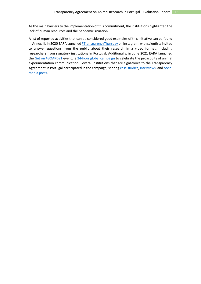As the main barriers to the implementation of this commitment, the institutions highlighted the lack of human resources and the pandemic situation.

A list of reported activities that can be considered good examples of this initiative can be found in Annex III. In 2020 EARA launche[d #TransparencyThursday](https://www.eara.eu/post/transparencythursday) on Instagram, with scientists invited to answer questions from the public about their research in a video format, including researchers from signatory institutions in Portugal. Additionally, in June 2021 EARA launched th[e Get on #BOARD21](http://www.eara.eu/post/biomedical-community-celebrates-success-of-first-global-day-for-animal-research) event, a [24-hour global campaign](http://www.eara.eu/post/be-open-about-animal-research-day-2021-case-studies-articles) to celebrate the proactivity of animal experimentation communication. Several institutions that are signatories to the Transparency Agreement in Portugal participated in the campaign, sharin[g case studies,](https://www.fchampalimaud.org/news/what-we-need-talk-about-we-talk-about-animal-testing) [interviews,](https://www.instagram.com/tv/CQyuQhfK2my/) and social [media posts.](https://twitter.com/EARA_PT/status/1410508975196545028)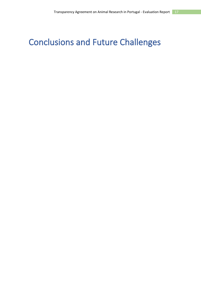## <span id="page-16-0"></span>Conclusions and Future Challenges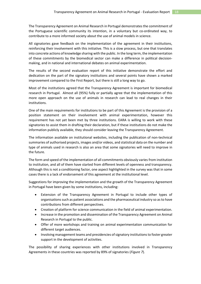The Transparency Agreement on Animal Research in Portugal demonstrates the commitment of the Portuguese scientific community its intention, in a voluntary but co-ordinated way, to contribute to a more informed society about the use of animal models in science.

All signatories gave feedback on the implementation of the agreement in their institutions, reinforcing their involvement with this initiative. This is a slow process, but one that translates into concrete actions of knowledge sharing with the public. In the long term, the implementation of these commitments by the biomedical sector can make a difference in political decisionmaking, and in national and international debates on animal experimentation.

The results of the second evaluation report of this initiative demonstrate the effort and dedication on the part of the signatory institutions and several points have shown a marked improvement compared to the First Report, but there is still a long way to go.

Most of the institutions agreed that the Transparency Agreement is important for biomedical research in Portugal. Almost all (95%) fully or partially agree that the implementation of this more open approach on the use of animals in research can lead to real changes in their institutions.

One of the main requirements for institutions to be part of this Agreement is the provision of a position statement on their involvement with animal experimentation, however this requirement has not yet been met by three institutions. EARA is willing to work with these signatories to assist them in drafting their declaration, but if these institutions do not make the information publicly available, they should consider leaving the Transparency Agreement.

The information available on institutional websites, including the publication of non-technical summaries of authorised projects, images and/or videos, and statistical data on the number and type of animals used in research is also an area that some signatories will need to improve in the future.

The form and speed of the implementation of all commitments obviously varies from institution to institution, and all of them have started from different levels of openness and transparency. Although this is not a conditioning factor, one aspect highlighted in the survey was that in some cases there is a lack of endorsement of this agreement at the institutional level.

Suggestions for improving the implementation and the growth of the Transparency Agreement in Portugal have been given by some institutions, including:

- Extension of the Transparency Agreement in Portugal to include other types of organisations such as patient associations and the pharmaceutical industry so as to have contributions from different perspectives.
- Creation of platform for science communication in the field of animal experimentation.
- Increase in the promotion and dissemination of the Transparency Agreement on Animal Research in Portugal to the public.
- Offer of more workshops and training on animal experimentation communication for different target audiences.
- Involving management teams and presidencies of signatory institutions to foster greater support in the development of activities.

The possibility of sharing experiences with other institutions involved in Transparency Agreements in these countries was reported by 89% of signatories (*Figure 7*).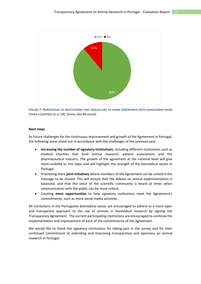

**FIGURE 7: PERCENTAGE OF INSTITUTIONS THAT WOULD LIKE TO SHARE EXPERIENCES WITH SIGNATORIES FROM OTHER COUNTRIES (E.G. UK, SPAIN, AND BELGIUM)**

#### **Next steps**

As future challenges for the continuous improvement and growth of the Agreement in Portugal, the following areas stand out in accordance with the challenges of the previous year:

- **Increasing the number of signatory institutions**, including different institutions such as medical charities that fund animal research, patient associations and the pharmaceutical industry. The growth of the agreement at the national level will give more visibility to this topic and will highlight the strength of the biomedical sector in Portugal.
- Promoting more **joint initiatives** where members of the Agreement can be united in the message to be shared. This will ensure that the debate on animal experimentation is balanced, and that the voice of the scientific community is heard at times when communication with the public can be more critical.
- Creating **more opportunities** to help signatory institutions meet the Agreement's commitments, such as more social media activities.

All institutions in the Portuguese biomedical sector are encouraged to adhere to a more open and transparent approach to the use of animals in biomedical research by signing the Transparency Agreement. The current participating institutions are encouraged to continue the implementation and improvement of each of the commitments of the Agreement.

We would like to thank the signatory institutions for taking part in the survey and for their continued commitment to extending and improving transparency and openness on animal research in Portugal.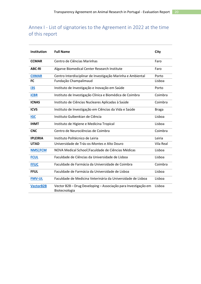### <span id="page-19-0"></span>Annex I - List of signatories to the Agreement in 2022 at the time of this report

| Institution      | <b>Full Name</b>                                                                | City             |
|------------------|---------------------------------------------------------------------------------|------------------|
| <b>CCMAR</b>     | Centro de Ciências Marinhas                                                     | Faro             |
| <b>ABC-RI</b>    | Algarve Biomedical Center Research Institute                                    | Faro             |
| <b>CIIMAR</b>    | Centro Interdisciplinar de Investigação Marinha e Ambiental                     | Porto            |
| FC               | Fundação Champalimaud                                                           | Lisboa           |
| i3S              | Instituto de Investigação e Inovação em Saúde                                   | Porto            |
| <b>iCBR</b>      | Instituto de Investigação Clínica e Biomédica de Coimbra                        | Coimbra          |
| <b>ICNAS</b>     | Instituto de Ciências Nucleares Aplicadas à Saúde                               | Coimbra          |
| <b>ICVS</b>      | Instituto de Investigação em Ciências da Vida e Saúde                           | <b>Braga</b>     |
| <b>IGC</b>       | Instituto Gulbenkian de Ciência                                                 | Lisboa           |
| <b>IHMT</b>      | Instituto de Higiene e Medicina Tropical                                        | Lisboa           |
| <b>CNC</b>       | Centro de Neurociências de Coimbra                                              | Coimbra          |
| <b>IPLEIRIA</b>  | Instituto Politécnico de Leiria                                                 | Leiria           |
| <b>UTAD</b>      | Universidade de Trás-os-Montes e Alto Douro                                     | <b>Vila Real</b> |
| <b>NMS FCM</b>   | NOVA Medical School   Faculdade de Ciências Médicas                             | Lisboa           |
| <b>FCUL</b>      | Faculdade de Ciências da Universidade de Lisboa                                 | Lisboa           |
| <b>FFUC</b>      | Faculdade de Farmácia da Universidade de Coimbra                                | Coimbra          |
| <b>FFUL</b>      | Faculdade de Farmácia da Universidade de Lisboa                                 | Lisboa           |
| <b>FMV-UL</b>    | Faculdade de Medicina Veterinária da Universidade de Lisboa                     | Lisboa           |
| <b>VectorB2B</b> | Vector B2B - Drug Developing - Associação para Investigação em<br>Biotecnologia | Lisboa           |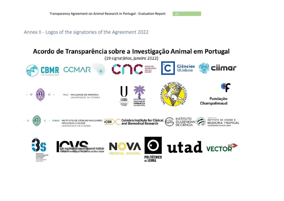Annex II - Logos of the signatories of the Agreement 2022

#### <span id="page-20-0"></span>Acordo de Transparência sobre a Investigação Animal em Portugal (19 signatários, janeiro 2022) **Ciências** ciimar **CENTER FOR CCMAR CBI NEUROSCIENCE<br>AND CELL<br>BIOLOGY** ULisboa **CENTRE FOR RIOMEDICAL RESEARC AEDIC AULLDA** U  $\mathbf C$ FFUC FACULDADE DE FARMÁCIA UNIVERSIDADE DE COIMBRA Fundação LISBOA **FACULDADE DE** Champalimaud **FARMÁCIA** UNIVERSIDADE<br>De lisboa **INSTITUTO Coimbra Institute for Clinical<br>and Biomedical Research** INSTITUTO DE HIGIENE E · ICNAS INSTITUTO DE CIÊNCIAS NUCLEARES . U C **ICBR GULBENKIAN MEDICINA TROPICAL** APLICADAS À SAÚDE **DE CIÊNCIA** LINIVERSIDADE NOVA DE LISRO UNIVERSIDADE DE COIMBRA **utad** vECTOR  $\bullet$ **Health Sciences Research Institute** e Investigação em Ciências da Vida e Saúde **MEDICAL SCHOOL** DE INVESTIGAÇÃO **POLITÉCNICO<br>DE LEIRIA** E INOVAÇÃO UNIVERSIDADE<br>DO PORTO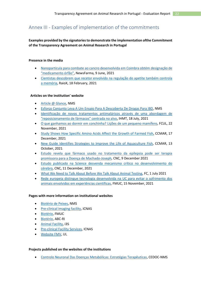### <span id="page-21-0"></span>Annex III - Examples of implementation of the commitments

#### **Examples provided by the signatories to demonstrate the implementation ofthe Commitment of the Transparency Agreement on Animal Research in Portugal**

#### **Presence in the media**

- [Nanopartícula para combate ao cancro desenvolvida em Coimbra obtém designação de](https://www.newsfarma.pt/noticias/10636-nanopart%C3%ADcula-para-combate-ao-cancro-desenvolvida-em-coimbra-obt%C3%A9m-designa%C3%A7%C3%A3o-de-%E2%80%9Cmedicamento-%C3%B3rf%C3%A3o%E2%80%9D.html)  ["medicamento órfão"](https://www.newsfarma.pt/noticias/10636-nanopart%C3%ADcula-para-combate-ao-cancro-desenvolvida-em-coimbra-obt%C3%A9m-designa%C3%A7%C3%A3o-de-%E2%80%9Cmedicamento-%C3%B3rf%C3%A3o%E2%80%9D.html), NewsFarma, 9 June, 2021
- [Cientistas descobrem que recetor envolvido na regulação do apetite também controla](https://raiox.pt/cientistas-descobrem-que-recetor-envolvido-na-regulacao-do-apetite-tambem-controla-a-memoria/)  [a memória,](https://raiox.pt/cientistas-descobrem-que-recetor-envolvido-na-regulacao-do-apetite-tambem-controla-a-memoria/) RaioX, 18 February, 2021

#### **Articles on the institution' website**

- [Article @ Glance,](https://www.nms.unl.pt/pt-pt/investigacao/ciencia-e-sociedade/article-at-a-glance) NMS
- [Esforço Conjunto Leva A Um Ensaio Para A Descoberta De Drogas Para IBD,](https://www.nms.unl.pt/pt-pt/investigacao/ciencia-e-sociedade/article-at-a-glance/drug-discovery-in-ibd) NMS
- Identificação de novos tratamentos [antimaláricos através de uma abordagem de](https://www.ihmt.unl.pt/identificacao-de-novos-tratamentos-antimalaricos-atraves-de-uma-abordagem-de-reposicionamento-de-farmacos-centrada-no-alvo/)  ["reposicionamento de fármacos" centrada no alvo](https://www.ihmt.unl.pt/identificacao-de-novos-tratamentos-antimalaricos-atraves-de-uma-abordagem-de-reposicionamento-de-farmacos-centrada-no-alvo/), IHMT, 18 July, 2021
- [O que ganhamos ao dormir em conchinha? Lições de um pequeno mamífero,](https://ciencias.ulisboa.pt/en/node/13963) FCUL, 22 November, 2021
- [Study Shows How Specific Amino Acids Affect the Growth of Farmed Fish,](https://www.ccmar.ualg.pt/en/news/study-shows-how-specific-amino-acids-affect-growth-farmed-fish) CCMAR, 17 December, 2021
- [New Guide Identifies Strategies to Improve the Life of Aquaculture Fish,](https://www.ccmar.ualg.pt/en/news/new-guide-identifies-strategies-improve-life-aquaculture-fish) CCMAR, 13 October, 2021
- [Estudo revela que fármaco usado no tratamento da epilepsia pode ser terapia](https://www.cnc.uc.pt/pt/estudo-revela-que-farmaco-usado-no-tratamento-da-epilepsia-pode-ser-terapia-promissora-para-a-doenca-de-machado-joseph)  [promissora para a Doença de Machado-Joseph,](https://www.cnc.uc.pt/pt/estudo-revela-que-farmaco-usado-no-tratamento-da-epilepsia-pode-ser-terapia-promissora-para-a-doenca-de-machado-joseph) CNC, 9 December 2021
- [Estudo publicado na Science desvenda mecanismo crítico no desenvolvimento do](https://www.cnc.uc.pt/pt/estudo-publicado-na-science-desvenda-mecanismo-critico-no-desenvolvimento-do-cerebro)  [cérebro,](https://www.cnc.uc.pt/pt/estudo-publicado-na-science-desvenda-mecanismo-critico-no-desenvolvimento-do-cerebro) CNC, 11 December, 2021
- [What We Need to Talk About Before We Talk About Animal Testing,](https://magazine.ar.fchampalimaud.org/what-we-need-to-talk-about-before-we-talk-about-animal-testing/) FC, 1 July 2021
- [Rede europeia distingue tecnologia desenvolvida na UC para evitar o sofrimento dos](https://www.uc.pt/fmuc/article?key=a-073151cf8b)  [animais envolvidos em experiências científicas,](https://www.uc.pt/fmuc/article?key=a-073151cf8b) FMUC, 15 November, 2021

#### **Pages with more information on institutional websites**

- [Biotério de Peixes,](https://www.nms.unl.pt/pt-pt/investigacao/servicos-e-infraestruturas/servicos-a-comunidade/detalhe/facilityid/5526) NMS
- [Pre-clinical imaging facility,](https://www.uc.pt/en/icnas/Animal_facility_ICNAS) ICNAS
- [Biotério,](https://www.uc.pt/fmuc/bioterio) FMUC
- [Biotério,](https://www.ualg.pt/bioterio) ABC-RI
- [Animal Facility,](https://www.i3s.up.pt/scientific-platform.php?groupid=52) i3S
- [Pre-clinical Facility Services,](https://www.uc.pt/en/icnas/Animal_facility_ICNAS/Animal_Facility_Services) ICNAS
- [Website FMV,](http://ciisa.fmv.ulisboa.pt/index.php/en/?) UL

#### **Projects published on the websites of the institutions**

• [Controlo Neuronal Das Doenças Metabólicas: Estratégias Terapêuticas,](https://www.nms.unl.pt/pt-pt/investigacao/grupos-de-investigacao/detalhe/n/controlo-neuronal-das-doencas-metabolicas-estrategias-terapeuticas) CEDOC-NMS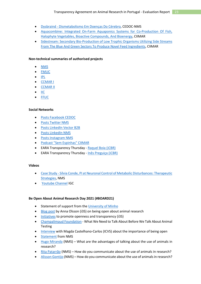- Dysbraind [Dismetabolismo Em Doenças Do Cérebro,](file:///C:/Users/ANA/AppData/Local/Microsoft/Windows/INetCache/Content.Outlook/JQA9SBP1/nms.unl.pt/pt-pt/investigacao/grupos-de-investigacao/detalhe/n/dysbraind-dismetabolismo-em-doencas-do-cerebro) CEDOC-NMS
- [Aquacombine: Integrated On-Farm Aquaponics Systems for Co-Production Of Fish,](https://www2.ciimar.up.pt/projects.php?id=129)  [Halophyte Vegetables, Bioactive Compounds, And Bioenergy,](https://www2.ciimar.up.pt/projects.php?id=129) CIIMAR
- [Sidestream: Secondary Bio-Production of Low Trophic Organisms Utilizing Side Streams](https://www2.ciimar.up.pt/projects.php?id=176)  [From The Blue And Green Sectors To Produce Novel Feed Ingredients,](https://www2.ciimar.up.pt/projects.php?id=176) CIIMAR

#### **Non-technical summaries of authorised projects**

- [NMS](https://www.nms.unl.pt/pt-pt/investigacao/investigacao-animal)
- [FMUC](https://www.uc.pt/fmuc/bioterio/AcordodeTransparencia/)
- [IPL](https://www.ipleiria.pt/investigacao-animal/)
- [CCMAR I](https://www.ccmar.ualg.pt/project/disruptores-olfativos-na-ria-formosa)
- [CCMAR II](https://www.ccmar.ualg.pt/project/new-species-processes-and-products-contributing-increased-production-and-improved)
- [IIC](https://www2.ciimar.up.pt/projects.php?id=176)
- [FFUC](https://www2.ciimar.up.pt/projects.php?id=176)

#### **Social Networks**

- [Posts Facebook CEDOC](https://www.facebook.com/CEDOCDoencasCronicas/posts/1918577745012372)
- [Posts Twitter NMS](https://twitter.com/nova_medschool/status/1410586747692584960)
- [Posts LinkedIn Vector B2B](https://www.linkedin.com/posts/vectorb2b-drug-development_toxicology-drugdiscovery-biotech-activity-6832948663619203072-99PQ/)
- [Posts LinkedIn NMS](https://www.linkedin.com/posts/nova-medical-school---faculdade-de-ci%C3%AAncias-m%C3%A9dicas_lysocil-rarediseases-research-activity-6789860906042974208-dHvW/)
- [Posts Instagram NMS](https://www.instagram.com/p/CODA7VZoI11/)
- [Podcast "Sem Espinhas" CIIMAR](https://www2.ciimar.up.pt/news.php?id=522)
- EARA Transparency Thursday [Raquel Boia \(iCBR\)](https://www.youtube.com/watch?v=1KWBpL7aqF4)
- EARA Transparency Thursday [Inês Preguiça \(iCBR\)](https://www.youtube.com/watch?v=Te28CFYnTIA&t=9s)

#### **Videos**

- Case Study [Sílvia Conde, PI at Neuronal Control of Metabolic Disturbances: Therapeutic](https://www.youtube.com/watch?v=BYibtErtL5s)  [Strategies,](https://www.youtube.com/watch?v=BYibtErtL5s) NMS
- [Youtube Channel](https://www.youtube.com/user/IGCiencia) IGC

#### **Be Open About Animal Research Day 2021 (#BOARD21)**

- Statement of support from the [University of Minho](https://www.eara.eu/post/be-open-about-animal-research-day-2021-partner-organisations-statements)
- [Blog post](https://animalogues.com/2021/07/01/being-open-about-animal-research/) by Anna Olsson (i3S) on being open about animal research
- [Initiatives](https://twitter.com/EARA_PT/status/1410523822818791434) to promote openness and transparency (i3S)
- [Champalimaud Foundation](https://www.fchampalimaud.org/news/what-we-need-talk-about-we-talk-about-animal-testing) What We Need to Talk About Before We Talk About Animal Testing
- [Interview](https://www.eara.eu/post/be-open-about-animal-research-day-2021-case-studies-articles) with Magda Castelhano-Carlos (ICVS) about the importance of being open
- [Statement](https://www.eara.eu/post/be-open-about-animal-research-day-2021-case-studies-articles) from NMS
- [Hugo Miranda](https://twitter.com/EARA_PT/status/1410509226720497665) (NMS) What are the advantages of talking about the use of animals in research?
- [Rita Patarrão](https://twitter.com/EARA_PT/status/1410510286533152768) (NMS) How do you communicate about the use of animals in research?
- [Alisson Gontijo](https://www.eara.eu/post/be-open-about-animal-research-day-2021-case-studies-articles) (NMS) How do you communicate about the use of animals in research?